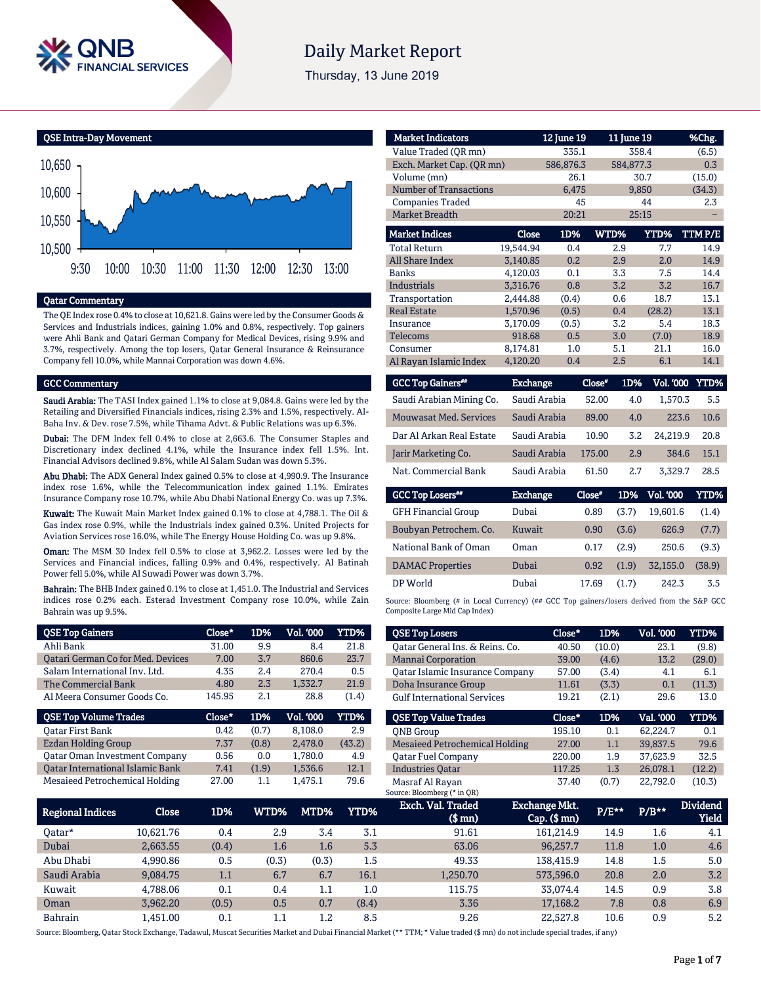

# **Daily Market Report**

Thursday, 13 June 2019

QSE Intra-Day Movement



## Qatar Commentary

The QE Index rose 0.4% to close at 10,621.8. Gains were led by the Consumer Goods & Services and Industrials indices, gaining 1.0% and 0.8%, respectively. Top gainers were Ahli Bank and Qatari German Company for Medical Devices, rising 9.9% and 3.7%, respectively. Among the top losers, Qatar General Insurance & Reinsurance Company fell 10.0%, while Mannai Corporation was down 4.6%.

#### GCC Commentary

Saudi Arabia: The TASI Index gained 1.1% to close at 9,084.8. Gains were led by the Retailing and Diversified Financials indices, rising 2.3% and 1.5%, respectively. Al-Baha Inv. & Dev. rose 7.5%, while Tihama Advt. & Public Relations was up 6.3%.

Dubai: The DFM Index fell 0.4% to close at 2,663.6. The Consumer Staples and Discretionary index declined 4.1%, while the Insurance index fell 1.5%. Int. Financial Advisors declined 9.8%, while Al Salam Sudan was down 5.3%.

Abu Dhabi: The ADX General Index gained 0.5% to close at 4,990.9. The Insurance index rose 1.6%, while the Telecommunication index gained 1.1%. Emirates Insurance Company rose 10.7%, while Abu Dhabi National Energy Co. was up 7.3%.

Kuwait: The Kuwait Main Market Index gained 0.1% to close at 4,788.1. The Oil & Gas index rose 0.9%, while the Industrials index gained 0.3%. United Projects for Aviation Services rose 16.0%, while The Energy House Holding Co. was up 9.8%.

Oman: The MSM 30 Index fell 0.5% to close at 3,962.2. Losses were led by the Services and Financial indices, falling 0.9% and 0.4%, respectively. Al Batinah Power fell 5.0%, while Al Suwadi Power was down 3.7%.

Bahrain: The BHB Index gained 0.1% to close at 1,451.0. The Industrial and Services indices rose 0.2% each. Esterad Investment Company rose 10.0%, while Zain Bahrain was up 9.5%.

| <b>QSE Top Gainers</b>                   | Close* | 1D%   | Vol. '000 | <b>YTD%</b> |
|------------------------------------------|--------|-------|-----------|-------------|
| Ahli Bank                                | 31.00  | 9.9   | 8.4       | 21.8        |
| <b>Qatari German Co for Med. Devices</b> | 7.00   | 3.7   | 860.6     | 23.7        |
| Salam International Inv. Ltd.            | 4.35   | 2.4   | 270.4     | 0.5         |
| The Commercial Bank                      | 4.80   | 2.3   | 1,332.7   | 21.9        |
| Al Meera Consumer Goods Co.              | 145.95 | 2.1   | 28.8      | (1.4)       |
|                                          |        |       |           |             |
| <b>QSE Top Volume Trades</b>             | Close* | 1D%   | Vol. '000 | YTD%        |
| <b>Oatar First Bank</b>                  | 0.42   | (0.7) | 8,108.0   | 2.9         |
| <b>Ezdan Holding Group</b>               | 7.37   | (0.8) | 2,478.0   | (43.2)      |
| <b>Qatar Oman Investment Company</b>     | 0.56   | 0.0   | 1,780.0   | 4.9         |
| <b>Oatar International Islamic Bank</b>  | 7.41   | (1.9) | 1,536.6   | 12.1        |

| <b>Market Indicators</b>      |              | 12 June 19 |      | 11 June 19 | %Chg.  |
|-------------------------------|--------------|------------|------|------------|--------|
| Value Traded (OR mn)          |              | 335.1      |      | 358.4      | (6.5)  |
| Exch. Market Cap. (OR mn)     |              | 586,876.3  |      | 584,877.3  | 0.3    |
| Volume (mn)                   |              | 26.1       |      | 30.7       | (15.0) |
| <b>Number of Transactions</b> |              | 6.475      |      | 9,850      | (34.3) |
| <b>Companies Traded</b>       |              | 45         |      | 44         | 2.3    |
| <b>Market Breadth</b>         |              | 20:21      |      | 25:15      |        |
| <b>Market Indices</b>         | <b>Close</b> | 1D%        | WTD% | YTD%       | TTMP/E |
| <b>Total Return</b>           | 19,544.94    | 0.4        | 2.9  | 7.7        | 14.9   |
| All Share Index               | 3.140.85     | 0.2        | 2.9  | 2.0        | 14.9   |
| <b>Banks</b>                  | 4.120.03     | 0.1        | 3.3  | 7.5        | 14.4   |
| <b>Industrials</b>            | 3,316.76     | 0.8        | 3.2  | 3.2        | 16.7   |
| Transportation                | 2,444.88     | (0.4)      | 0.6  | 18.7       | 13.1   |
| <b>Real Estate</b>            | 1.570.96     | (0.5)      | 0.4  | (28.2)     | 13.1   |
| Insurance                     | 3.170.09     | (0.5)      | 3.2  | 5.4        | 18.3   |
| Telecoms                      | 918.68       | 0.5        | 3.0  | (7.0)      | 18.9   |
| Consumer                      | 8,174.81     | 1.0        | 5.1  | 21.1       | 16.0   |
| Al Rayan Islamic Index        | 4,120.20     | 0.4        | 2.5  | 6.1        | 14.1   |

| <b>GCC Top Gainers</b> "      | <b>Exchange</b> | Close* | 1D% | <b>Vol. '000</b> | YTD% |
|-------------------------------|-----------------|--------|-----|------------------|------|
| Saudi Arabian Mining Co.      | Saudi Arabia    | 52.00  | 4.0 | 1.570.3          | 5.5  |
| <b>Mouwasat Med. Services</b> | Saudi Arabia    | 89.00  | 4.0 | 223.6            | 10.6 |
| Dar Al Arkan Real Estate      | Saudi Arabia    | 10.90  | 3.2 | 24.219.9         | 20.8 |
| Jarir Marketing Co.           | Saudi Arabia    | 175.00 | 2.9 | 384.6            | 15.1 |
| Nat. Commercial Bank          | Saudi Arabia    | 61.50  | 2.7 | 3.329.7          | 28.5 |

| <b>GCC Top Losers**</b>    | <b>Exchange</b> | Close* | 1D%   | Vol. '000' | YTD%   |
|----------------------------|-----------------|--------|-------|------------|--------|
| <b>GFH Financial Group</b> | Dubai           | 0.89   | (3.7) | 19.601.6   | (1.4)  |
| Boubyan Petrochem. Co.     | Kuwait          | 0.90   | (3.6) | 626.9      | (7.7)  |
| National Bank of Oman      | Oman            | 0.17   | (2.9) | 250.6      | (9.3)  |
| <b>DAMAC</b> Properties    | Dubai           | 0.92   | (1.9) | 32.155.0   | (38.9) |
| DP World                   | Dubai           | 17.69  | (1.7) | 242.3      | 3.5    |

Source: Bloomberg (# in Local Currency) (## GCC Top gainers/losers derived from the S&P GCC Composite Large Mid Cap Index)

| <b>QSE Top Losers</b>                  | Close* | 1D%    | <b>Vol. '000</b> | YTD%   |
|----------------------------------------|--------|--------|------------------|--------|
| Oatar General Ins. & Reins. Co.        | 40.50  | (10.0) | 23.1             | (9.8)  |
| <b>Mannai Corporation</b>              | 39.00  | (4.6)  | 13.2             | (29.0) |
| <b>Qatar Islamic Insurance Company</b> | 57.00  | (3.4)  | 4.1              | 6.1    |
| Doha Insurance Group                   | 11.61  | (3.3)  | 0.1              | (11.3) |
| <b>Gulf International Services</b>     | 19.21  | (2.1)  | 29.6             | 13.0   |
|                                        |        |        |                  |        |
| <b>QSE Top Value Trades</b>            | Close* | 1D%    | Val. '000        | YTD%   |
| <b>ONB</b> Group                       | 195.10 | 0.1    | 62.224.7         | 0.1    |
| <b>Mesaieed Petrochemical Holding</b>  | 27.00  | 1.1    | 39.837.5         | 79.6   |
| Oatar Fuel Company                     | 220.00 | 1.9    | 37.623.9         | 32.5   |
| <b>Industries Oatar</b>                | 117.25 | 1.3    | 26,078.1         | (12.2) |

| <b>Regional Indices</b> | Close            | 1D%   | $WTD\%$ ' | MTD%    | YTD%    | Exch. Val. Traded<br>$$$ mn $)$ | Exchange Mkt.<br>$Cap.$ ( $$rm)$ ) | $P/E***$ | $P/B***$ | <b>Dividend</b><br><b>Yield</b> |
|-------------------------|------------------|-------|-----------|---------|---------|---------------------------------|------------------------------------|----------|----------|---------------------------------|
| Oatar*                  | 10.621.76        | 0.4   | 2.9       | 3.4     | 3.1     | 91.61                           | 161.214.9                          | 14.9     | 1.6      | 4.1                             |
| Dubai                   | 2.663.55         | (0.4) | $1.6\,$   | 1.6     | 5.3     | 63.06                           | 96.257.7                           | 11.8     | 1.0      | 4.6                             |
| Abu Dhabi               | 4.990.86         | 0.5   | (0.3)     | (0.3)   | 1.5     | 49.33                           | 138.415.9                          | 14.8     | 1.5      | 5.0                             |
| Saudi Arabia            | 9.084.75         | 1.1   | 6.7       | 6.7     | 16.1    | 1,250.70                        | 573,596.0                          | 20.8     | 2.0      | 3.2                             |
| Kuwait                  | 4.788.06         | 0.1   | 0.4       | $1.1\,$ | $1.0\,$ | 115.75                          | 33.074.4                           | 14.5     | 0.9      | 3.8                             |
| Oman                    | 3.962.20         | (0.5) | 0.5       | 0.7     | (8.4)   | 3.36                            | 17.168.2                           | 7.8      | 0.8      | 6.9                             |
| <b>Bahrain</b>          | l <b>.451.00</b> | 0.1   | 1.1       | 1.2     | 8.5     | 9.26                            | 22.527.8                           | 10.6     | 0.9      | 5.2                             |

Source: Bloomberg, Qatar Stock Exchange, Tadawul, Muscat Securities Market and Dubai Financial Market (\*\* TTM; \* Value traded (\$ mn) do not include special trades, if any)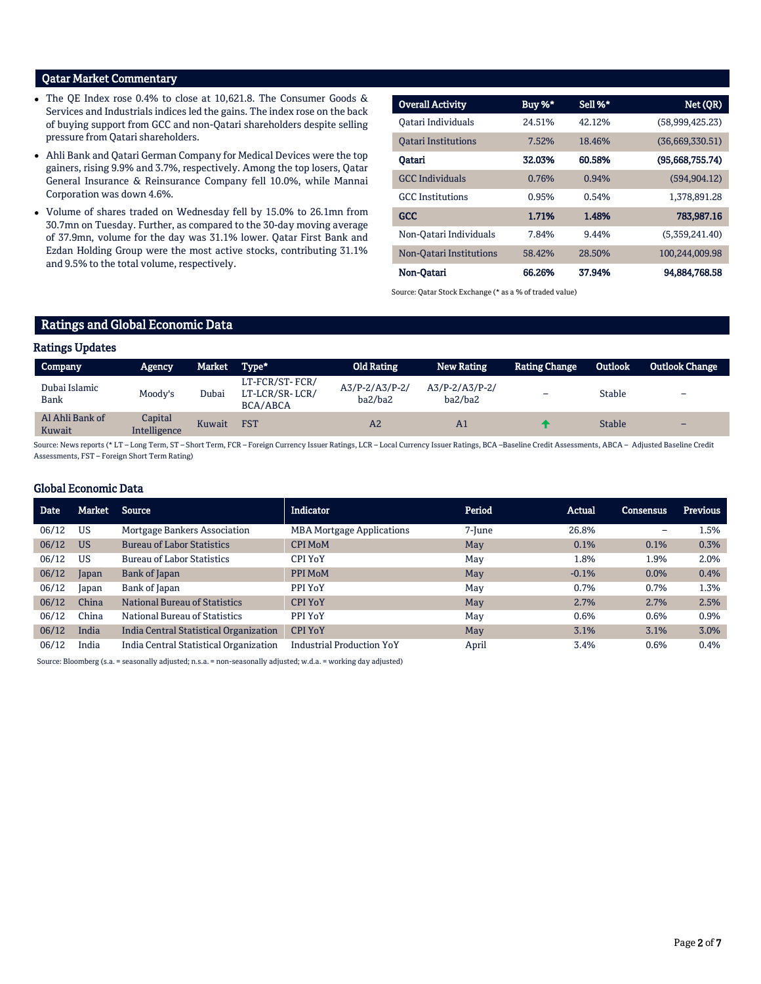# Qatar Market Commentary

- The QE Index rose 0.4% to close at 10,621.8. The Consumer Goods & Services and Industrials indices led the gains. The index rose on the back of buying support from GCC and non-Qatari shareholders despite selling pressure from Qatari shareholders.
- Ahli Bank and Qatari German Company for Medical Devices were the top gainers, rising 9.9% and 3.7%, respectively. Among the top losers, Qatar General Insurance & Reinsurance Company fell 10.0%, while Mannai Corporation was down 4.6%.
- Volume of shares traded on Wednesday fell by 15.0% to 26.1mn from 30.7mn on Tuesday. Further, as compared to the 30-day moving average of 37.9mn, volume for the day was 31.1% lower. Qatar First Bank and Ezdan Holding Group were the most active stocks, contributing 31.1% and 9.5% to the total volume, respectively.

| <b>Overall Activity</b>        | Buy %* | Sell %* | Net (QR)        |
|--------------------------------|--------|---------|-----------------|
| Oatari Individuals             | 24.51% | 42.12%  | (58,999,425.23) |
| <b>Oatari Institutions</b>     | 7.52%  | 18.46%  | (36,669,330.51) |
| Oatari                         | 32.03% | 60.58%  | (95,668,755,74) |
| <b>GCC</b> Individuals         | 0.76%  | 0.94%   | (594, 904.12)   |
| <b>GCC</b> Institutions        | 0.95%  | 0.54%   | 1,378,891.28    |
| <b>GCC</b>                     | 1.71%  | 1.48%   | 783,987.16      |
| Non-Oatari Individuals         | 7.84%  | 9.44%   | (5,359,241.40)  |
| <b>Non-Qatari Institutions</b> | 58.42% | 28.50%  | 100,244,009.98  |
| Non-Oatari                     | 66.26% | 37.94%  | 94,884,768.58   |

Source: Qatar Stock Exchange (\* as a % of traded value)

# Ratings and Global Economic Data

#### Ratings Updates

| Company                   | <b>Agency</b>           | Market | Type*                                        | <b>Old Rating</b>           | New Rating                       | <b>Rating Change</b> | <b>Outlook</b> | <b>Outlook Change</b>    |
|---------------------------|-------------------------|--------|----------------------------------------------|-----------------------------|----------------------------------|----------------------|----------------|--------------------------|
| Dubai Islamic<br>Bank     | Moody's                 | Dubai  | LT-FCR/ST-FCR/<br>LT-LCR/SR-LCR/<br>BCA/ABCA | $A3/P-2/A3/P-2/$<br>ba2/ba2 | $A3/P - 2/ A3/P - 2/$<br>ba2/ba2 | -                    | <b>Stable</b>  | -                        |
| Al Ahli Bank of<br>Kuwait | Capital<br>Intelligence | Kuwait | <b>FST</b>                                   | A2                          | A <sub>1</sub>                   |                      | <b>Stable</b>  | $\overline{\phantom{0}}$ |

Source: News reports (\* LT – Long Term, ST – Short Term, FCR – Foreign Currency Issuer Ratings, LCR – Local Currency Issuer Ratings, BCA –Baseline Credit Assessments, ABCA – Adjusted Baseline Credit Assessments, FST – Foreign Short Term Rating)

## Global Economic Data

| Date  | Market    | Source                                 | <b>Indicator</b>                 | Period | Actual  | Consensus | <b>Previous</b> |
|-------|-----------|----------------------------------------|----------------------------------|--------|---------|-----------|-----------------|
| 06/12 | <b>US</b> | Mortgage Bankers Association           | <b>MBA Mortgage Applications</b> | 7-June | 26.8%   | -         | 1.5%            |
| 06/12 | <b>US</b> | <b>Bureau of Labor Statistics</b>      | <b>CPI MoM</b>                   | May    | 0.1%    | 0.1%      | 0.3%            |
| 06/12 | <b>US</b> | <b>Bureau of Labor Statistics</b>      | CPI YoY                          | May    | 1.8%    | 1.9%      | 2.0%            |
| 06/12 | Japan     | Bank of Japan                          | PPI MoM                          | May    | $-0.1%$ | 0.0%      | 0.4%            |
| 06/12 | Japan     | Bank of Japan                          | PPI YoY                          | May    | 0.7%    | 0.7%      | 1.3%            |
| 06/12 | China     | <b>National Bureau of Statistics</b>   | <b>CPI YoY</b>                   | May    | 2.7%    | 2.7%      | 2.5%            |
| 06/12 | China     | National Bureau of Statistics          | PPI YoY                          | May    | 0.6%    | 0.6%      | 0.9%            |
| 06/12 | India     | India Central Statistical Organization | <b>CPI YoY</b>                   | May    | 3.1%    | 3.1%      | 3.0%            |
| 06/12 | India     | India Central Statistical Organization | <b>Industrial Production YoY</b> | April  | 3.4%    | 0.6%      | 0.4%            |

Source: Bloomberg (s.a. = seasonally adjusted; n.s.a. = non-seasonally adjusted; w.d.a. = working day adjusted)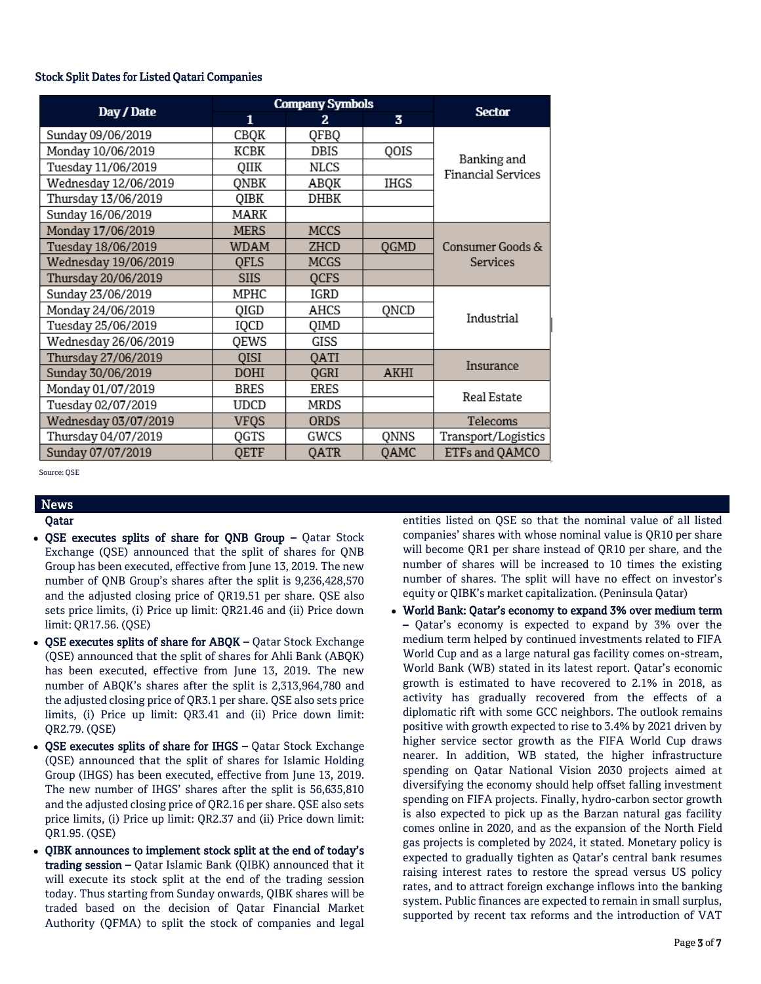## Stock Split Dates for Listed Qatari Companies

|                      |             | <b>Company Symbols</b> |                         |                                          |
|----------------------|-------------|------------------------|-------------------------|------------------------------------------|
| Day / Date           | 1           | 2.                     | $\overline{\mathbf{3}}$ | <b>Sector</b>                            |
| Sunday 09/06/2019    | CBQK        | QFBQ                   |                         |                                          |
| Monday 10/06/2019    | KCBK        | DBIS                   | QOIS                    |                                          |
| Tuesday 11/06/2019   | QIIK        | NLCS                   |                         | Banking and<br><b>Financial Services</b> |
| Wednesday 12/06/2019 | QNBK        | ABQK                   | <b>IHGS</b>             |                                          |
| Thursday 13/06/2019  | QIBK        | DHBK                   |                         |                                          |
| Sunday 16/06/2019    | MARK        |                        |                         |                                          |
| Monday 17/06/2019    | <b>MERS</b> | <b>MCCS</b>            |                         |                                          |
| Tuesday 18/06/2019   | <b>WDAM</b> | ZHCD                   | QGMD                    | Consumer Goods &                         |
| Wednesday 19/06/2019 | <b>OFLS</b> | <b>MCGS</b>            |                         | <b>Services</b>                          |
| Thursday 20/06/2019  | <b>SIIS</b> | <b>QCFS</b>            |                         |                                          |
| Sunday 23/06/2019    | MPHC        | IGRD                   |                         |                                          |
| Monday 24/06/2019    | QIGD        | AHCS                   | QNCD                    | Industrial                               |
| Tuesday 25/06/2019   | IQCD        | QIMD                   |                         |                                          |
| Wednesday 26/06/2019 | QEWS        | GISS                   |                         |                                          |
| Thursday 27/06/2019  | QISI        | QATI                   |                         | Insurance                                |
| Sunday 30/06/2019    | DOHI        | OGRI                   | AKHI                    |                                          |
| Monday 01/07/2019    | <b>BRES</b> | ERES                   |                         | Real Estate                              |
| Tuesday 02/07/2019   | UDCD        | MRDS                   |                         |                                          |
| Wednesday 03/07/2019 | VFQS        | <b>ORDS</b>            |                         | Telecoms                                 |
| Thursday 04/07/2019  | QGTS        | GWCS                   | QNNS                    | Transport/Logistics                      |
| Sunday 07/07/2019    | <b>QETF</b> | <b>OATR</b>            | <b>QAMC</b>             | ETFs and QAMCO                           |

Source: QSE

# News

# Qatar

- QSE executes splits of share for QNB Group Qatar Stock Exchange (QSE) announced that the split of shares for QNB Group has been executed, effective from June 13, 2019. The new number of QNB Group's shares after the split is 9,236,428,570 and the adjusted closing price of QR19.51 per share. QSE also sets price limits, (i) Price up limit: QR21.46 and (ii) Price down limit: QR17.56. (QSE)
- QSE executes splits of share for ABQK Qatar Stock Exchange (QSE) announced that the split of shares for Ahli Bank (ABQK) has been executed, effective from June 13, 2019. The new number of ABQK's shares after the split is 2,313,964,780 and the adjusted closing price of QR3.1 per share. QSE also sets price limits, (i) Price up limit: QR3.41 and (ii) Price down limit: QR2.79. (QSE)
- OSE executes splits of share for IHGS Qatar Stock Exchange (QSE) announced that the split of shares for Islamic Holding Group (IHGS) has been executed, effective from June 13, 2019. The new number of IHGS' shares after the split is 56,635,810 and the adjusted closing price of QR2.16 per share. QSE also sets price limits, (i) Price up limit: QR2.37 and (ii) Price down limit: QR1.95. (QSE)
- QIBK announces to implement stock split at the end of today's trading session – Qatar Islamic Bank (QIBK) announced that it will execute its stock split at the end of the trading session today. Thus starting from Sunday onwards, QIBK shares will be traded based on the decision of Qatar Financial Market Authority (QFMA) to split the stock of companies and legal

entities listed on QSE so that the nominal value of all listed companies' shares with whose nominal value is QR10 per share will become QR1 per share instead of QR10 per share, and the number of shares will be increased to 10 times the existing number of shares. The split will have no effect on investor's equity or QIBK's market capitalization. (Peninsula Qatar)

 World Bank: Qatar's economy to expand 3% over medium term – Qatar's economy is expected to expand by 3% over the medium term helped by continued investments related to FIFA World Cup and as a large natural gas facility comes on-stream, World Bank (WB) stated in its latest report. Qatar's economic growth is estimated to have recovered to 2.1% in 2018, as activity has gradually recovered from the effects of a diplomatic rift with some GCC neighbors. The outlook remains positive with growth expected to rise to 3.4% by 2021 driven by higher service sector growth as the FIFA World Cup draws nearer. In addition, WB stated, the higher infrastructure spending on Qatar National Vision 2030 projects aimed at diversifying the economy should help offset falling investment spending on FIFA projects. Finally, hydro-carbon sector growth is also expected to pick up as the Barzan natural gas facility comes online in 2020, and as the expansion of the North Field gas projects is completed by 2024, it stated. Monetary policy is expected to gradually tighten as Qatar's central bank resumes raising interest rates to restore the spread versus US policy rates, and to attract foreign exchange inflows into the banking system. Public finances are expected to remain in small surplus, supported by recent tax reforms and the introduction of VAT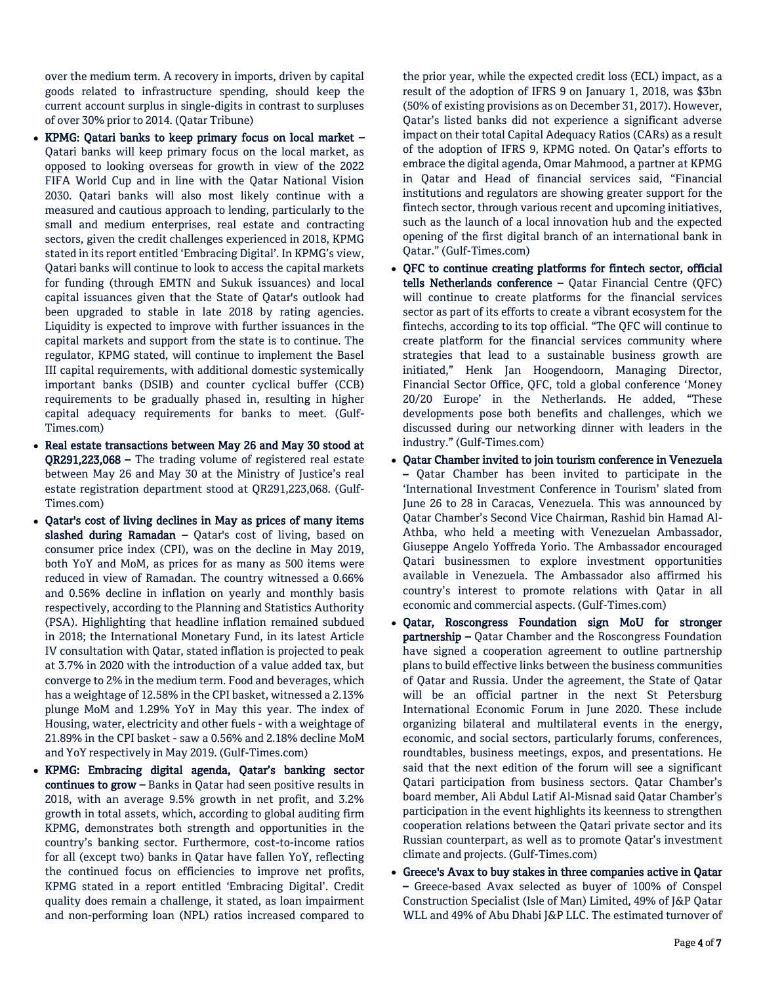over the medium term. A recovery in imports, driven by capital goods related to infrastructure spending, should keep the current account surplus in single-digits in contrast to surpluses of over 30% prior to 2014. (Qatar Tribune)

- KPMG: Qatari banks to keep primary focus on local market Qatari banks will keep primary focus on the local market, as opposed to looking overseas for growth in view of the 2022 FIFA World Cup and in line with the Qatar National Vision 2030. Qatari banks will also most likely continue with a measured and cautious approach to lending, particularly to the small and medium enterprises, real estate and contracting sectors, given the credit challenges experienced in 2018, KPMG stated in its report entitled 'Embracing Digital'. In KPMG's view, Qatari banks will continue to look to access the capital markets for funding (through EMTN and Sukuk issuances) and local capital issuances given that the State of Qatar's outlook had been upgraded to stable in late 2018 by rating agencies. Liquidity is expected to improve with further issuances in the capital markets and support from the state is to continue. The regulator, KPMG stated, will continue to implement the Basel III capital requirements, with additional domestic systemically important banks (DSIB) and counter cyclical buffer (CCB) requirements to be gradually phased in, resulting in higher capital adequacy requirements for banks to meet. (Gulf-Times.com)
- Real estate transactions between May 26 and May 30 stood at QR291,223,068 – The trading volume of registered real estate between May 26 and May 30 at the Ministry of Justice's real estate registration department stood at QR291,223,068. (Gulf-Times.com)
- Qatar's cost of living declines in May as prices of many items slashed during Ramadan  $-$  Oatar's cost of living, based on consumer price index (CPI), was on the decline in May 2019, both YoY and MoM, as prices for as many as 500 items were reduced in view of Ramadan. The country witnessed a 0.66% and 0.56% decline in inflation on yearly and monthly basis respectively, according to the Planning and Statistics Authority (PSA). Highlighting that headline inflation remained subdued in 2018; the International Monetary Fund, in its latest Article IV consultation with Qatar, stated inflation is projected to peak at 3.7% in 2020 with the introduction of a value added tax, but converge to 2% in the medium term. Food and beverages, which has a weightage of 12.58% in the CPI basket, witnessed a 2.13% plunge MoM and 1.29% YoY in May this year. The index of Housing, water, electricity and other fuels - with a weightage of 21.89% in the CPI basket - saw a 0.56% and 2.18% decline MoM and YoY respectively in May 2019. (Gulf-Times.com)
- KPMG: Embracing digital agenda, Qatar's banking sector continues to grow - Banks in Qatar had seen positive results in 2018, with an average 9.5% growth in net profit, and 3.2% growth in total assets, which, according to global auditing firm KPMG, demonstrates both strength and opportunities in the country's banking sector. Furthermore, cost-to-income ratios for all (except two) banks in Qatar have fallen YoY, reflecting the continued focus on efficiencies to improve net profits, KPMG stated in a report entitled 'Embracing Digital'. Credit quality does remain a challenge, it stated, as loan impairment and non-performing loan (NPL) ratios increased compared to

the prior year, while the expected credit loss (ECL) impact, as a result of the adoption of IFRS 9 on January 1, 2018, was \$3bn (50% of existing provisions as on December 31, 2017). However, Qatar's listed banks did not experience a significant adverse impact on their total Capital Adequacy Ratios (CARs) as a result of the adoption of IFRS 9, KPMG noted. On Qatar's efforts to embrace the digital agenda, Omar Mahmood, a partner at KPMG in Qatar and Head of financial services said, "Financial institutions and regulators are showing greater support for the fintech sector, through various recent and upcoming initiatives, such as the launch of a local innovation hub and the expected opening of the first digital branch of an international bank in Qatar." (Gulf-Times.com)

- QFC to continue creating platforms for fintech sector, official tells Netherlands conference – Qatar Financial Centre (QFC) will continue to create platforms for the financial services sector as part of its efforts to create a vibrant ecosystem for the fintechs, according to its top official. "The QFC will continue to create platform for the financial services community where strategies that lead to a sustainable business growth are initiated," Henk Jan Hoogendoorn, Managing Director, Financial Sector Office, QFC, told a global conference 'Money 20/20 Europe' in the Netherlands. He added, "These developments pose both benefits and challenges, which we discussed during our networking dinner with leaders in the industry." (Gulf-Times.com)
- Qatar Chamber invited to join tourism conference in Venezuela – Qatar Chamber has been invited to participate in the 'International Investment Conference in Tourism' slated from June 26 to 28 in Caracas, Venezuela. This was announced by Qatar Chamber's Second Vice Chairman, Rashid bin Hamad Al-Athba, who held a meeting with Venezuelan Ambassador, Giuseppe Angelo Yoffreda Yorio. The Ambassador encouraged Qatari businessmen to explore investment opportunities available in Venezuela. The Ambassador also affirmed his country's interest to promote relations with Qatar in all economic and commercial aspects. (Gulf-Times.com)
- Qatar, Roscongress Foundation sign MoU for stronger partnership – Qatar Chamber and the Roscongress Foundation have signed a cooperation agreement to outline partnership plans to build effective links between the business communities of Qatar and Russia. Under the agreement, the State of Qatar will be an official partner in the next St Petersburg International Economic Forum in June 2020. These include organizing bilateral and multilateral events in the energy, economic, and social sectors, particularly forums, conferences, roundtables, business meetings, expos, and presentations. He said that the next edition of the forum will see a significant Qatari participation from business sectors. Qatar Chamber's board member, Ali Abdul Latif Al-Misnad said Qatar Chamber's participation in the event highlights its keenness to strengthen cooperation relations between the Qatari private sector and its Russian counterpart, as well as to promote Qatar's investment climate and projects. (Gulf-Times.com)
- Greece's Avax to buy stakes in three companies active in Qatar – Greece-based Avax selected as buyer of 100% of Conspel Construction Specialist (Isle of Man) Limited, 49% of J&P Qatar WLL and 49% of Abu Dhabi J&P LLC. The estimated turnover of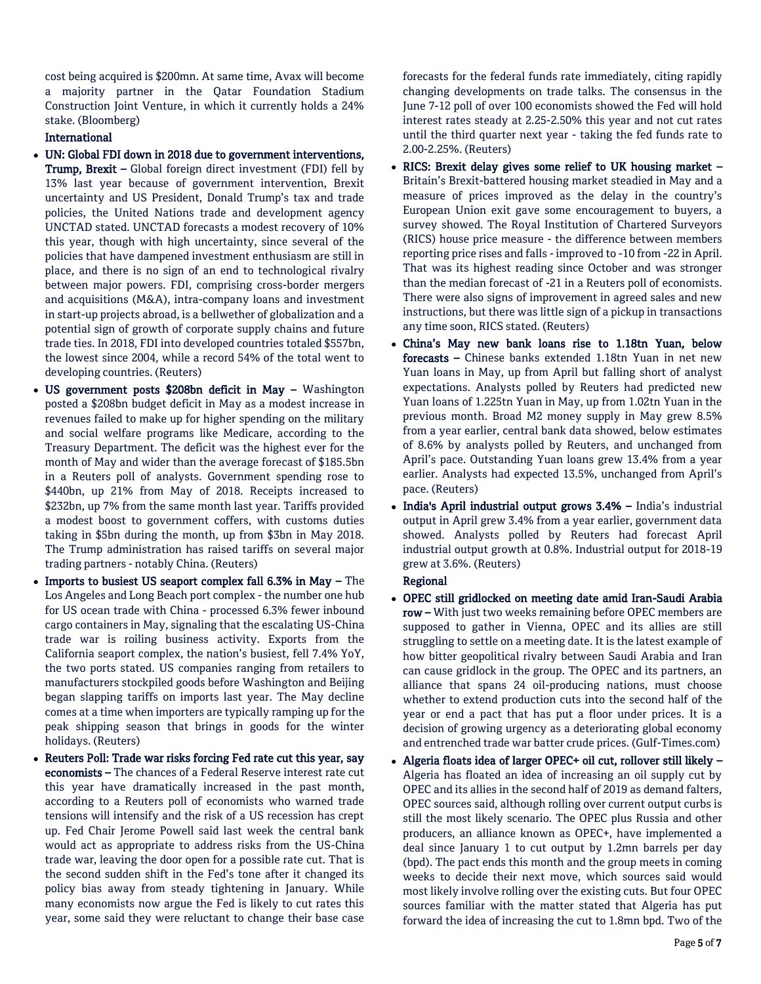cost being acquired is \$200mn. At same time, Avax will become a majority partner in the Qatar Foundation Stadium Construction Joint Venture, in which it currently holds a 24% stake. (Bloomberg)

# International

- UN: Global FDI down in 2018 due to government interventions, Trump, Brexit - Global foreign direct investment (FDI) fell by 13% last year because of government intervention, Brexit uncertainty and US President, Donald Trump's tax and trade policies, the United Nations trade and development agency UNCTAD stated. UNCTAD forecasts a modest recovery of 10% this year, though with high uncertainty, since several of the policies that have dampened investment enthusiasm are still in place, and there is no sign of an end to technological rivalry between major powers. FDI, comprising cross-border mergers and acquisitions (M&A), intra-company loans and investment in start-up projects abroad, is a bellwether of globalization and a potential sign of growth of corporate supply chains and future trade ties. In 2018, FDI into developed countries totaled \$557bn, the lowest since 2004, while a record 54% of the total went to developing countries. (Reuters)
- US government posts \$208bn deficit in May Washington posted a \$208bn budget deficit in May as a modest increase in revenues failed to make up for higher spending on the military and social welfare programs like Medicare, according to the Treasury Department. The deficit was the highest ever for the month of May and wider than the average forecast of \$185.5bn in a Reuters poll of analysts. Government spending rose to \$440bn, up 21% from May of 2018. Receipts increased to \$232bn, up 7% from the same month last year. Tariffs provided a modest boost to government coffers, with customs duties taking in \$5bn during the month, up from \$3bn in May 2018. The Trump administration has raised tariffs on several major trading partners - notably China. (Reuters)
- $\bullet$  Imports to busiest US seaport complex fall 6.3% in May The Los Angeles and Long Beach port complex - the number one hub for US ocean trade with China - processed 6.3% fewer inbound cargo containers in May, signaling that the escalating US-China trade war is roiling business activity. Exports from the California seaport complex, the nation's busiest, fell 7.4% YoY, the two ports stated. US companies ranging from retailers to manufacturers stockpiled goods before Washington and Beijing began slapping tariffs on imports last year. The May decline comes at a time when importers are typically ramping up for the peak shipping season that brings in goods for the winter holidays. (Reuters)
- Reuters Poll: Trade war risks forcing Fed rate cut this year, say economists – The chances of a Federal Reserve interest rate cut this year have dramatically increased in the past month, according to a Reuters poll of economists who warned trade tensions will intensify and the risk of a US recession has crept up. Fed Chair Jerome Powell said last week the central bank would act as appropriate to address risks from the US-China trade war, leaving the door open for a possible rate cut. That is the second sudden shift in the Fed's tone after it changed its policy bias away from steady tightening in January. While many economists now argue the Fed is likely to cut rates this year, some said they were reluctant to change their base case

forecasts for the federal funds rate immediately, citing rapidly changing developments on trade talks. The consensus in the June 7-12 poll of over 100 economists showed the Fed will hold interest rates steady at 2.25-2.50% this year and not cut rates until the third quarter next year - taking the fed funds rate to 2.00-2.25%. (Reuters)

- RICS: Brexit delay gives some relief to UK housing market Britain's Brexit-battered housing market steadied in May and a measure of prices improved as the delay in the country's European Union exit gave some encouragement to buyers, a survey showed. The Royal Institution of Chartered Surveyors (RICS) house price measure - the difference between members reporting price rises and falls - improved to -10 from -22 in April. That was its highest reading since October and was stronger than the median forecast of -21 in a Reuters poll of economists. There were also signs of improvement in agreed sales and new instructions, but there was little sign of a pickup in transactions any time soon, RICS stated. (Reuters)
- China's May new bank loans rise to 1.18tn Yuan, below forecasts – Chinese banks extended 1.18tn Yuan in net new Yuan loans in May, up from April but falling short of analyst expectations. Analysts polled by Reuters had predicted new Yuan loans of 1.225tn Yuan in May, up from 1.02tn Yuan in the previous month. Broad M2 money supply in May grew 8.5% from a year earlier, central bank data showed, below estimates of 8.6% by analysts polled by Reuters, and unchanged from April's pace. Outstanding Yuan loans grew 13.4% from a year earlier. Analysts had expected 13.5%, unchanged from April's pace. (Reuters)
- India's April industrial output grows 3.4% India's industrial output in April grew 3.4% from a year earlier, government data showed. Analysts polled by Reuters had forecast April industrial output growth at 0.8%. Industrial output for 2018-19 grew at 3.6%. (Reuters)

# Regional

- OPEC still gridlocked on meeting date amid Iran-Saudi Arabia row – With just two weeks remaining before OPEC members are supposed to gather in Vienna, OPEC and its allies are still struggling to settle on a meeting date. It is the latest example of how bitter geopolitical rivalry between Saudi Arabia and Iran can cause gridlock in the group. The OPEC and its partners, an alliance that spans 24 oil-producing nations, must choose whether to extend production cuts into the second half of the year or end a pact that has put a floor under prices. It is a decision of growing urgency as a deteriorating global economy and entrenched trade war batter crude prices. (Gulf-Times.com)
- Algeria floats idea of larger OPEC+ oil cut, rollover still likely Algeria has floated an idea of increasing an oil supply cut by OPEC and its allies in the second half of 2019 as demand falters, OPEC sources said, although rolling over current output curbs is still the most likely scenario. The OPEC plus Russia and other producers, an alliance known as OPEC+, have implemented a deal since January 1 to cut output by 1.2mn barrels per day (bpd). The pact ends this month and the group meets in coming weeks to decide their next move, which sources said would most likely involve rolling over the existing cuts. But four OPEC sources familiar with the matter stated that Algeria has put forward the idea of increasing the cut to 1.8mn bpd. Two of the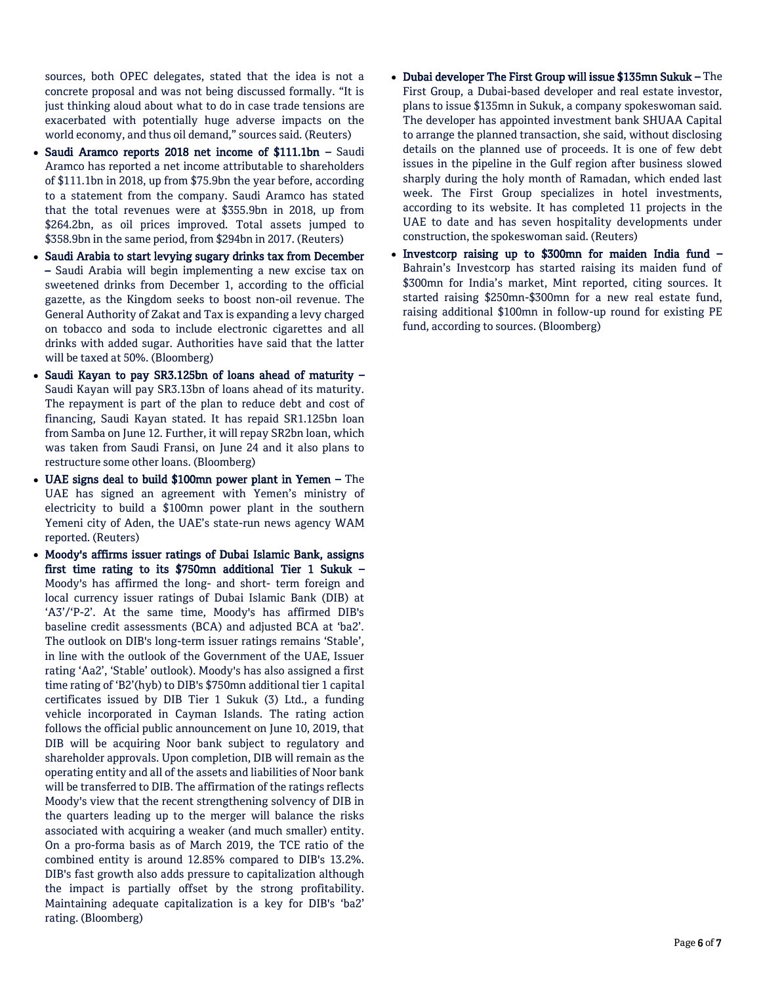sources, both OPEC delegates, stated that the idea is not a concrete proposal and was not being discussed formally. "It is just thinking aloud about what to do in case trade tensions are exacerbated with potentially huge adverse impacts on the world economy, and thus oil demand," sources said. (Reuters)

- Saudi Aramco reports 2018 net income of \$111.1bn Saudi Aramco has reported a net income attributable to shareholders of \$111.1bn in 2018, up from \$75.9bn the year before, according to a statement from the company. Saudi Aramco has stated that the total revenues were at \$355.9bn in 2018, up from \$264.2bn, as oil prices improved. Total assets jumped to \$358.9bn in the same period, from \$294bn in 2017. (Reuters)
- Saudi Arabia to start levying sugary drinks tax from December – Saudi Arabia will begin implementing a new excise tax on sweetened drinks from December 1, according to the official gazette, as the Kingdom seeks to boost non-oil revenue. The General Authority of Zakat and Tax is expanding a levy charged on tobacco and soda to include electronic cigarettes and all drinks with added sugar. Authorities have said that the latter will be taxed at 50%. (Bloomberg)
- Saudi Kayan to pay SR3.125bn of loans ahead of maturity Saudi Kayan will pay SR3.13bn of loans ahead of its maturity. The repayment is part of the plan to reduce debt and cost of financing, Saudi Kayan stated. It has repaid SR1.125bn loan from Samba on June 12. Further, it will repay SR2bn loan, which was taken from Saudi Fransi, on June 24 and it also plans to restructure some other loans. (Bloomberg)
- UAE signs deal to build \$100mn power plant in Yemen The UAE has signed an agreement with Yemen's ministry of electricity to build a \$100mn power plant in the southern Yemeni city of Aden, the UAE's state-run news agency WAM reported. (Reuters)
- Moody's affirms issuer ratings of Dubai Islamic Bank, assigns first time rating to its \$750mn additional Tier 1 Sukuk – Moody's has affirmed the long- and short- term foreign and local currency issuer ratings of Dubai Islamic Bank (DIB) at 'A3'/'P-2'. At the same time, Moody's has affirmed DIB's baseline credit assessments (BCA) and adjusted BCA at 'ba2'. The outlook on DIB's long-term issuer ratings remains 'Stable', in line with the outlook of the Government of the UAE, Issuer rating 'Aa2', 'Stable' outlook). Moody's has also assigned a first time rating of 'B2'(hyb) to DIB's \$750mn additional tier 1 capital certificates issued by DIB Tier 1 Sukuk (3) Ltd., a funding vehicle incorporated in Cayman Islands. The rating action follows the official public announcement on June 10, 2019, that DIB will be acquiring Noor bank subject to regulatory and shareholder approvals. Upon completion, DIB will remain as the operating entity and all of the assets and liabilities of Noor bank will be transferred to DIB. The affirmation of the ratings reflects Moody's view that the recent strengthening solvency of DIB in the quarters leading up to the merger will balance the risks associated with acquiring a weaker (and much smaller) entity. On a pro-forma basis as of March 2019, the TCE ratio of the combined entity is around 12.85% compared to DIB's 13.2%. DIB's fast growth also adds pressure to capitalization although the impact is partially offset by the strong profitability. Maintaining adequate capitalization is a key for DIB's 'ba2' rating. (Bloomberg)
- Dubai developer The First Group will issue \$135mn Sukuk The First Group, a Dubai-based developer and real estate investor, plans to issue \$135mn in Sukuk, a company spokeswoman said. The developer has appointed investment bank SHUAA Capital to arrange the planned transaction, she said, without disclosing details on the planned use of proceeds. It is one of few debt issues in the pipeline in the Gulf region after business slowed sharply during the holy month of Ramadan, which ended last week. The First Group specializes in hotel investments, according to its website. It has completed 11 projects in the UAE to date and has seven hospitality developments under construction, the spokeswoman said. (Reuters)
- Investcorp raising up to \$300mn for maiden India fund Bahrain's Investcorp has started raising its maiden fund of \$300mn for India's market, Mint reported, citing sources. It started raising \$250mn-\$300mn for a new real estate fund, raising additional \$100mn in follow-up round for existing PE fund, according to sources. (Bloomberg)